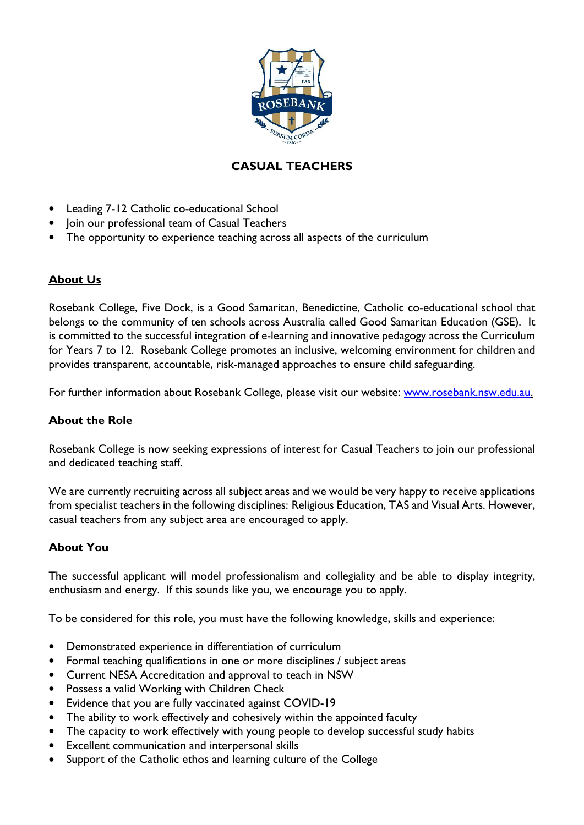

# **CASUAL TEACHERS**

- Leading 7-12 Catholic co-educational School
- Join our professional team of Casual Teachers
- The opportunity to experience teaching across all aspects of the curriculum

## **About Us**

Rosebank College, Five Dock, is a Good Samaritan, Benedictine, Catholic co-educational school that belongs to the community of ten schools across Australia called Good Samaritan Education (GSE). It is committed to the successful integration of e-learning and innovative pedagogy across the Curriculum for Years 7 to 12. Rosebank College promotes an inclusive, welcoming environment for children and provides transparent, accountable, risk-managed approaches to ensure child safeguarding.

For further information about Rosebank College, please visit our website: [www.rosebank.nsw.edu.au.](http://www.rosebank.nsw.edu.au/)

### **About the Role**

Rosebank College is now seeking expressions of interest for Casual Teachers to join our professional and dedicated teaching staff.

We are currently recruiting across all subject areas and we would be very happy to receive applications from specialist teachers in the following disciplines: Religious Education, TAS and Visual Arts. However, casual teachers from any subject area are encouraged to apply.

## **About You**

The successful applicant will model professionalism and collegiality and be able to display integrity, enthusiasm and energy. If this sounds like you, we encourage you to apply.

To be considered for this role, you must have the following knowledge, skills and experience:

- Demonstrated experience in differentiation of curriculum
- Formal teaching qualifications in one or more disciplines / subject areas
- Current NESA Accreditation and approval to teach in NSW
- Possess a valid Working with Children Check
- Evidence that you are fully vaccinated against COVID-19
- The ability to work effectively and cohesively within the appointed faculty
- The capacity to work effectively with young people to develop successful study habits
- Excellent communication and interpersonal skills
- Support of the Catholic ethos and learning culture of the College